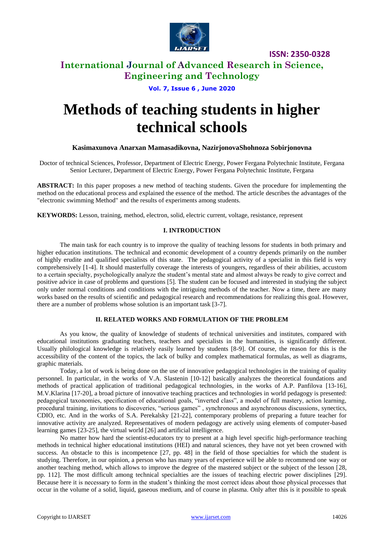

## **International Journal of Advanced Research in Science, Engineering and Technology**

### **Vol. 7, Issue 6 , June 2020**

# **Methods of teaching students in higher technical schools**

### **Kasimaxunova Anarxan Mamasadikovna, NazirjonovaShohnoza Sobirjonovna**

Doctor of technical Sciences, Professor, Department of Electric Energy, Power Fergana Polytechnic Institute, Fergana Senior Lecturer, Department of Electric Energy, Power Fergana Polytechnic Institute, Fergana

**ABSTRACT:** In this paper proposes a new method of teaching students. Given the procedure for implementing the method on the educational process and explained the essence of the method. The article describes the advantages of the "electronic swimming Method" and the results of experiments among students.

**KEYWORDS:** Lesson, training, method, electron, solid, electric current, voltage, resistance, represent

### **I. INTRODUCTION**

The main task for each country is to improve the quality of teaching lessons for students in both primary and higher education institutions. The technical and economic development of a country depends primarily on the number of highly erudite and qualified specialists of this state. The pedagogical activity of a specialist in this field is very comprehensively [1-4]. It should masterfully coverage the interests of youngers, regardless of their abilities, accustom to a certain specialty, psychologically analyze the student's mental state and almost always be ready to give correct and positive advice in case of problems and questions [5]. The student can be focused and interested in studying the subject only under normal conditions and conditions with the intriguing methods of the teacher. Now a time, there are many works based on the results of scientific and pedagogical research and recommendations for realizing this goal. However, there are a number of problems whose solution is an important task [3-7].

### **II. RELATED WORKS AND FORMULATION OF THE PROBLEM**

As you know, the quality of knowledge of students of technical universities and institutes, compared with educational institutions graduating teachers, teachers and specialists in the humanities, is significantly different. Usually philological knowledge is relatively easily learned by students [8-9]. Of course, the reason for this is the accessibility of the content of the topics, the lack of bulky and complex mathematical formulas, as well as diagrams, graphic materials.

Today, a lot of work is being done on the use of innovative pedagogical technologies in the training of quality personnel. In particular, in the works of V.A. Slastenin [10-12] basically analyzes the theoretical foundations and methods of practical application of traditional pedagogical technologies, in the works of A.P. Panfilova [13-16], M.V.Klarina [17-20], a broad picture of innovative teaching practices and technologies in world pedagogy is presented: pedagogical taxonomies, specification of educational goals, "inverted class", a model of full mastery, action learning, procedural training, invitations to discoveries, "serious games" , synchronous and asynchronous discussions, synectics, CDIO, etc. And in the works of S.A. Perekalsky [21-22], contemporary problems of preparing a future teacher for innovative activity are analyzed. Representatives of modern pedagogy are actively using elements of computer-based learning games [23-25], the virtual world [26] and artificial intelligence.

No matter how hard the scientist-educators try to present at a high level specific high-performance teaching methods in technical higher educational institutions (HEI) and natural sciences, they have not yet been crowned with success. An obstacle to this is incompetence [27, pp. 48] in the field of those specialties for which the student is studying. Therefore, in our opinion, a person who has many years of experience will be able to recommend one way or another teaching method, which allows to improve the degree of the mastered subject or the subject of the lesson [28, pp. 112]. The most difficult among technical specialties are the issues of teaching electric power disciplines [29]. Because here it is necessary to form in the student's thinking the most correct ideas about those physical processes that occur in the volume of a solid, liquid, gaseous medium, and of course in plasma. Only after this is it possible to speak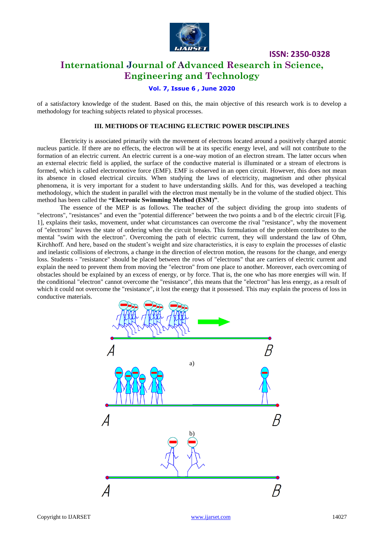

# **International Journal of Advanced Research in Science, Engineering and Technology**

### **Vol. 7, Issue 6 , June 2020**

of a satisfactory knowledge of the student. Based on this, the main objective of this research work is to develop a methodology for teaching subjects related to physical processes.

### **III. METHODS OF TEACHING ELECTRIC POWER DISCIPLINES**

Electricity is associated primarily with the movement of electrons located around a positively charged atomic nucleus particle. If there are no effects, the electron will be at its specific energy level, and will not contribute to the formation of an electric current. An electric current is a one-way motion of an electron stream. The latter occurs when an external electric field is applied, the surface of the conductive material is illuminated or a stream of electrons is formed, which is called electromotive force (EMF). EMF is observed in an open circuit. However, this does not mean its absence in closed electrical circuits. When studying the laws of electricity, magnetism and other physical phenomena, it is very important for a student to have understanding skills. And for this, was developed a teaching methodology, which the student in parallel with the electron must mentally be in the volume of the studied object. This method has been called the **"Electronic Swimming Method (ESM)"**.

The essence of the MEP is as follows. The teacher of the subject dividing the group into students of "electrons", "resistances" and even the "potential difference" between the two points a and b of the electric circuit [Fig. 1], explains their tasks, movement, under what circumstances can overcome the rival "resistance", why the movement of "electrons" leaves the state of ordering when the circuit breaks. This formulation of the problem contributes to the mental "swim with the electron". Overcoming the path of electric current, they will understand the law of Ohm, Kirchhoff. And here, based on the student's weight and size characteristics, it is easy to explain the processes of elastic and inelastic collisions of electrons, a change in the direction of electron motion, the reasons for the change, and energy loss. Students - "resistance" should be placed between the rows of "electrons" that are carriers of electric current and explain the need to prevent them from moving the "electron" from one place to another. Moreover, each overcoming of obstacles should be explained by an excess of energy, or by force. That is, the one who has more energies will win. If the conditional "electron" cannot overcome the "resistance", this means that the "electron" has less energy, as a result of which it could not overcome the "resistance", it lost the energy that it possessed. This may explain the process of loss in conductive materials.

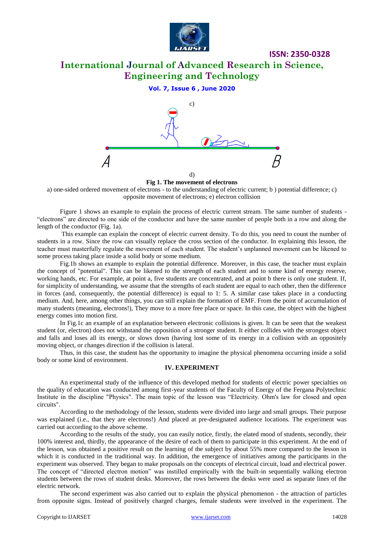

# **International Journal of Advanced Research in Science, Engineering and Technology**

**ISSN: 2350-0328**

### **Vol. 7, Issue 6 , June 2020**



**Fig 1. The movement of electrons**

a) one-sided ordered movement of electrons - to the understanding of electric current; b ) potential difference; c) opposite movement of electrons; e) electron collision

Figure 1 shows an example to explain the process of electric current stream. The same number of students - "electrons" are directed to one side of the conductor and have the same number of people both in a row and along the length of the conductor (Fig. 1a).

This example can explain the concept of electric current density. To do this, you need to count the number of students in a row. Since the row can visually replace the cross section of the conductor. In explaining this lesson, the teacher must masterfully regulate the movement of each student. The student's unplanned movement can be likened to some process taking place inside a solid body or some medium.

Fig.1b shows an example to explain the potential difference. Moreover, in this case, the teacher must explain the concept of "potential". This can be likened to the strength of each student and to some kind of energy reserve, working hands, etc. For example, at point a, five students are concentrated, and at point b there is only one student. If, for simplicity of understanding, we assume that the strengths of each student are equal to each other, then the difference in forces (and, consequently, the potential difference) is equal to 1: 5. A similar case takes place in a conducting medium. And, here, among other things, you can still explain the formation of EMF. From the point of accumulation of many students (meaning, electrons!), They move to a more free place or space. In this case, the object with the highest energy comes into motion first.

In Fig.1c an example of an explanation between electronic collisions is given. It can be seen that the weakest student (or, electron) does not withstand the opposition of a stronger student. It either collides with the strongest object and falls and loses all its energy, or slows down (having lost some of its energy in a collision with an oppositely moving object, or changes direction if the collision is lateral.

Thus, in this case, the student has the opportunity to imagine the physical phenomena occurring inside a solid body or some kind of environment.

### **IV. EXPERIMENT**

An experimental study of the influence of this developed method for students of electric power specialties on the quality of education was conducted among first-year students of the Faculty of Energy of the Fergana Polytechnic Institute in the discipline "Physics". The main topic of the lesson was "Electricity. Ohm's law for closed and open circuits".

According to the methodology of the lesson, students were divided into large and small groups. Their purpose was explained (i.e., that they are electrons!) And placed at pre-designated audience locations. The experiment was carried out according to the above scheme.

According to the results of the study, you can easily notice, firstly, the elated mood of students, secondly, their 100% interest and, thirdly, the appearance of the desire of each of them to participate in this experiment. At the end of the lesson, was obtained a positive result on the learning of the subject by about 55% more compared to the lesson in which it is conducted in the traditional way. In addition, the emergence of initiatives among the participants in the experiment was observed. They began to make proposals on the concepts of electrical circuit, load and electrical power. The concept of "directed electron motion" was instilled empirically with the built-in sequentially walking electron students between the rows of student desks. Moreover, the rows between the desks were used as separate lines of the electric network.

The second experiment was also carried out to explain the physical phenomenon - the attraction of particles from opposite signs. Instead of positively charged charges, female students were involved in the experiment. The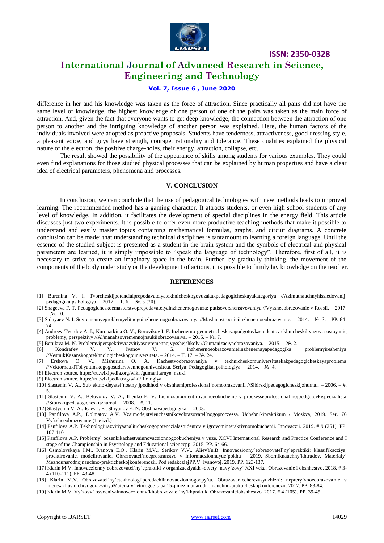

## **International Journal of Advanced Research in Science, Engineering and Technology**

### **Vol. 7, Issue 6 , June 2020**

difference in her and his knowledge was taken as the force of attraction. Since practically all pairs did not have the same level of knowledge, the highest knowledge of one person of one of the pairs was taken as the main force of attraction. And, given the fact that everyone wants to get deep knowledge, the connection between the attraction of one person to another and the intriguing knowledge of another person was explained. Here, the human factors of the individuals involved were adopted as proactive proposals. Students have tenderness, attractiveness, good dressing style, a pleasant voice, and guys have strength, courage, rationality and tolerance. These qualities explained the physical nature of the electron, the positive charge-holes, their energy, attraction, collapse, etc.

The result showed the possibility of the appearance of skills among students for various examples. They could even find explanations for those studied physical processes that can be explained by human properties and have a clear idea of electrical parameters, phenomena and processes.

### **V. CONCLUSION**

In conclusion, we can conclude that the use of pedagogical technologies with new methods leads to improved learning. The recommended method has a gaming character. It attracts students, or even high school students of any level of knowledge. In addition, it facilitates the development of special disciplines in the energy field. This article discusses just two experiments. It is possible to offer even more productive teaching methods that make it possible to understand and easily master topics containing mathematical formulas, graphs, and circuit diagrams. A concrete conclusion can be made: that understanding technical disciplines is tantamount to learning a foreign language. Until the essence of the studied subject is presented as a student in the brain system and the symbols of electrical and physical parameters are learned, it is simply impossible to "speak the language of technology". Therefore, first of all, it is necessary to strive to create an imaginary space in the brain. Further, by gradually thinking, the movement of the components of the body under study or the development of actions, it is possible to firmly lay knowledge on the teacher.

#### **REFERENCES**

- [1] Burenina V. I. Tvorcheskijpotencialprepodavatelyatekhnicheskogovuzakakpedagogicheskayakategoriya //Azimutnauchnyhissledovanij: pedagogikaipsihologiya. – 2017. – T. 6. – №. 3 (20).
- [2] Shageeva F. T. Pedagogicheskoemasterstvoprepodavatelyainzhenernogovuza: putisovershenstvovaniya //Vyssheeobrazovanie v Rossii. 2017.  $-$  No. 10.
- [3] Sidnyaev N. I. Sovremennyeproblemyelitnogoinzhenernogoobrazovaniya //Mashinostroenieiinzhenernoeobrazovanie. 2014. №. 3. PP. 64- 74.
- [4] Andreev-Tverdov A. I., Kuropatkina O. V., Borovikov I. F. Inzhenerno-geometricheskayapodgotovkastudentovtekhnicheskihvuzov: sostoyanie, problemy, perspektivy //Al'manahsovremennojnaukiiobrazovaniya. – 2015. – №. 7.
- [5] Berulava M. N. Problemyiperspektivyrazvitiyasovremennojvysshejshkoly //Gumanizaciyaobrazovaniya. 2015. №. 2.
- [6] Kondrat'ev V. V., Ivanov V. G. Inzhenernoeobrazovanieiinzhenernayapedagogika: problemyiresheniya //VestnikKazanskogotekhnologicheskogouniversiteta. – 2014. – T. 17. – №. 24.
- [7] Ershova O. V., Mishurina O. A. Kachestvoobrazovaniya v tekhnicheskomuniversitetekakpedagogicheskayaproblema //VektornaukiTol'yattinskogogosudarstvennogouniversiteta. Seriya: Pedagogika, psihologiya. – 2014. – №. 4.
- [8] Electron source. https://ru.wikipedia.org/wiki /gumanitarnye\_nauki
- [9] Electron source. https://ru.wikipedia.org/wiki/filologiya
- [10] Slastenin V. A., Sub`ektno-deyatel`nostny`jpodkhod v obshhemiprofessional`nomobrazovanii //Sibirskijpedagogicheskijzhurnal. 2006. #. 5.
- [11] Slastenin V. A., Belovolov V. A., Il`enko E. V. Lichnostnoorientirovannoeobuchenie v proczesseprofessional`nojpodgotovkispeczialista //Sibirskijpedagogicheskijzhurnal. – 2008. – #. 11.
- [12] Slastyonin V. A., Isaev I. F., Shiyanov E. N. Obshhayapedagogika. 2003.
- [13] Panfilova A.P., Dolmatov A.V. Vzaimodejstvieuchastnikovobrazovatel`nogoproczessa. Uchebnikipraktikum / Moskva, 2019. Ser. 76 Vy`ssheeobrazovanie (1-e izd.)
- [14] Panfilova A.P. Tekhnologiirazvitiyaanaliticheskogopotenczialastudentov v igrovominteraktivnomobuchenii. Innovaczii. 2019. # 9 (251). PP. 107-110
- [15] Panfilova A.P. Problemy` oczenkikachestvainnovaczionnogoobucheniya v vuze. XCVI International Research and Practice Conference and I stage of the Championship in Psychology and Educational sciencepp. 2015. PP. 64-66.
- [16] Osmolovskaya I.M., Ivanova E.O., Klarin M.V., Serikov V.V., AlievYu.B. Innovaczionny`eobrazovatel`ny`epraktiki: klassifikacziya, proektirovanie, modelirovanie. Obrazovatel`noeprostranstvo v informaczionnuyue`pokhu – 2019. Sborniknauchny`khtrudov. Materialy` Mezhdunarodnojnauchno-prakticheskojkonferenczii. Pod redakcziejPP.V. Ivanovoj. 2019. PP. 123-137.
- [17] Klarin M.V. Innovaczionny`eobrazovatel`ny`epraktiki v organizacziyakh -otvety` navy`zovy` XXI veka. Obrazovanie i obshhestvo. 2018. # 3- 4 (110-111). PP. 43-48.
- [18] Klarin M.V. Obrazovatel`ny`etekhnologiiperedachiinnovaczionnogoopy`ta. Obrazovaniecherezvsyuzhizn`: neprery`vnoeobrazovanie v interesakhustojchivogorazvitiyaMaterialy` vtorogoe`tapa 15-j mezhdunarodnojnauchno-prakticheskojkonferenczii. 2017. PP. 83-84.
- [19] Klarin M.V. Vy`zovy` osvoeniyainnovaczionny`khobrazovatel`ny`khpraktik. Obrazovanieiobshhestvo. 2017. # 4 (105). PP. 39-45.